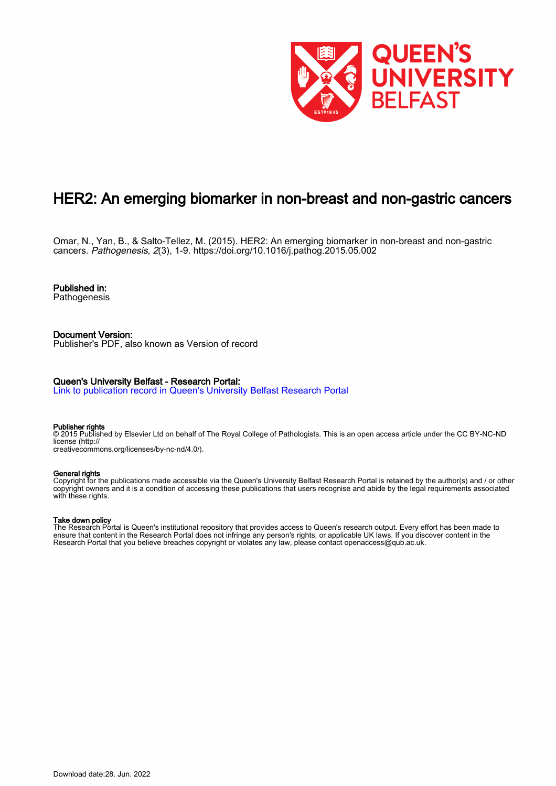

# HER2: An emerging biomarker in non-breast and non-gastric cancers

Omar, N., Yan, B., & Salto-Tellez, M. (2015). HER2: An emerging biomarker in non-breast and non-gastric cancers. Pathogenesis, 2(3), 1-9. <https://doi.org/10.1016/j.pathog.2015.05.002>

Published in: Pathogenesis

Document Version: Publisher's PDF, also known as Version of record

# Queen's University Belfast - Research Portal:

[Link to publication record in Queen's University Belfast Research Portal](https://pure.qub.ac.uk/en/publications/0fd3e0b6-2272-43a6-a1d1-2ff89abe44a8)

## Publisher rights

© 2015 Published by Elsevier Ltd on behalf of The Royal College of Pathologists. This is an open access article under the CC BY-NC-ND license (http:// creativecommons.org/licenses/by-nc-nd/4.0/).

# General rights

Copyright for the publications made accessible via the Queen's University Belfast Research Portal is retained by the author(s) and / or other copyright owners and it is a condition of accessing these publications that users recognise and abide by the legal requirements associated with these rights.

# Take down policy

The Research Portal is Queen's institutional repository that provides access to Queen's research output. Every effort has been made to ensure that content in the Research Portal does not infringe any person's rights, or applicable UK laws. If you discover content in the Research Portal that you believe breaches copyright or violates any law, please contact openaccess@qub.ac.uk.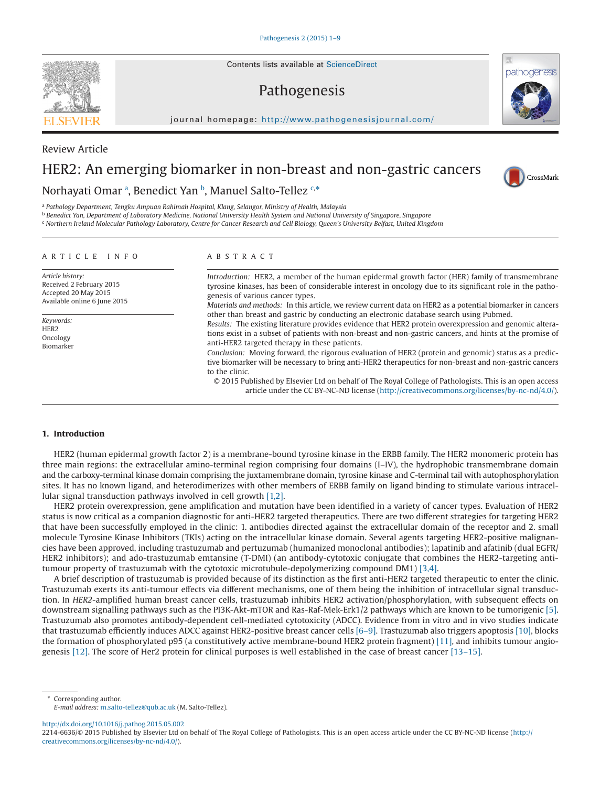Contents lists available at [ScienceDirect](http://www.sciencedirect.com/science/journal/22146636)

# Pathogenesis

journal homepage: [http://www.pathogenesisjournal.com/](http://http://www.pathogenesisjournal.com/)

# HER2: An emerging biomarker in non-breast and non-gastric cancers

# Norh[a](#page-1-0)yati Omar ª, Benedict Yan <sup>[b](#page-1-1)</sup>, Manuel Salto-Tellez <sup>[c,](#page-1-2)[\\*](#page-1-3)</sup>

<span id="page-1-0"></span><sup>a</sup> *Pathology Department, Tengku Ampuan Rahimah Hospital, Klang, Selangor, Ministry of Health, Malaysia*

<span id="page-1-1"></span><sup>b</sup> *Benedict Yan, Department of Laboratory Medicine, National University Health System and National University of Singapore, Singapore*

<span id="page-1-2"></span><sup>c</sup> *Northern Ireland Molecular Pathology Laboratory, Centre for Cancer Research and Cell Biology, Queen's University Belfast, United Kingdom*

#### ARTICLE INFO

*Article history:* Received 2 February 2015 Accepted 20 May 2015 Available online 6 June 2015

*Keywords:* HER2 Oncology Biomarker

#### ABSTRACT

*Introduction:* HER2, a member of the human epidermal growth factor (HER) family of transmembrane tyrosine kinases, has been of considerable interest in oncology due to its significant role in the pathogenesis of various cancer types.

*Materials and methods:* In this article, we review current data on HER2 as a potential biomarker in cancers other than breast and gastric by conducting an electronic database search using Pubmed.

*Results:* The existing literature provides evidence that HER2 protein overexpression and genomic alterations exist in a subset of patients with non-breast and non-gastric cancers, and hints at the promise of anti-HER2 targeted therapy in these patients.

*Conclusion:* Moving forward, the rigorous evaluation of HER2 (protein and genomic) status as a predictive biomarker will be necessary to bring anti-HER2 therapeutics for non-breast and non-gastric cancers to the clinic.

© 2015 Published by Elsevier Ltd on behalf of The Royal College of Pathologists. This is an open access article under the CC BY-NC-ND license (http://creativecommons.org/licenses/by-nc-nd/4.0/).

#### **1. Introduction**

HER2 (human epidermal growth factor 2) is a membrane-bound tyrosine kinase in the ERBB family. The HER2 monomeric protein has three main regions: the extracellular amino-terminal region comprising four domains (I–IV), the hydrophobic transmembrane domain and the carboxy-terminal kinase domain comprising the juxtamembrane domain, tyrosine kinase and C-terminal tail with autophosphorylation sites. It has no known ligand, and heterodimerizes with other members of ERBB family on ligand binding to stimulate various intracellular signal transduction pathways involved in cell growth [\[1,2\].](#page-6-0)

HER2 protein overexpression, gene amplification and mutation have been identified in a variety of cancer types. Evaluation of HER2 status is now critical as a companion diagnostic for anti-HER2 targeted therapeutics. There are two different strategies for targeting HER2 that have been successfully employed in the clinic: 1. antibodies directed against the extracellular domain of the receptor and 2. small molecule Tyrosine Kinase Inhibitors (TKIs) acting on the intracellular kinase domain. Several agents targeting HER2-positive malignancies have been approved, including trastuzumab and pertuzumab (humanized monoclonal antibodies); lapatinib and afatinib (dual EGFR/ HER2 inhibitors); and ado-trastuzumab emtansine (T-DMI) (an antibody-cytotoxic conjugate that combines the HER2-targeting antitumour property of trastuzumab with the cytotoxic microtubule-depolymerizing compound DM1) [\[3,4\].](#page-6-1)

A brief description of trastuzumab is provided because of its distinction as the first anti-HER2 targeted therapeutic to enter the clinic. Trastuzumab exerts its anti-tumour effects via different mechanisms, one of them being the inhibition of intracellular signal transduction. In *HER2*-amplified human breast cancer cells, trastuzumab inhibits HER2 activation/phosphorylation, with subsequent effects on downstream signalling pathways such as the PI3K-Akt-mTOR and Ras-Raf-Mek-Erk1/2 pathways which are known to be tumorigenic [\[5\].](#page-6-2) Trastuzumab also promotes antibody-dependent cell-mediated cytotoxicity (ADCC). Evidence from in vitro and in vivo studies indicate that trastuzumab efficiently induces ADCC against HER2-positive breast cancer cells [\[6–9\].](#page-6-3) Trastuzumab also triggers apoptosis [\[10\],](#page-6-4) blocks the formation of phosphorylated p95 (a constitutively active membrane-bound HER2 protein fragment) [\[11\],](#page-6-5) and inhibits tumour angiogenesis [\[12\].](#page-6-6) The score of Her2 protein for clinical purposes is well established in the case of breast cancer [\[13–15\].](#page-6-7)

<span id="page-1-3"></span>Corresponding author. *E-mail address:* [m.salto-tellez@qub.ac.uk](mailto:m.salto-tellez@qub.ac.uk) (M. Salto-Tellez).

http://dx.doi.org/10.1016/j.pathog.2015.05.002



Review Article





<sup>2214-6636/© 2015</sup> Published by Elsevier Ltd on behalf of The Royal College of Pathologists. This is an open access article under the CC BY-NC-ND license (http:// creativecommons.org/licenses/by-nc-nd/4.0/).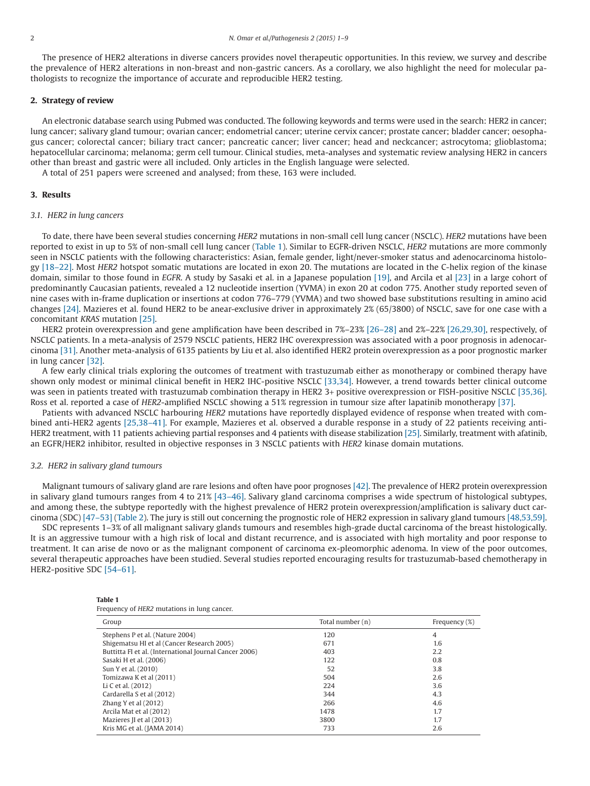The presence of HER2 alterations in diverse cancers provides novel therapeutic opportunities. In this review, we survey and describe the prevalence of HER2 alterations in non-breast and non-gastric cancers. As a corollary, we also highlight the need for molecular pathologists to recognize the importance of accurate and reproducible HER2 testing.

# **2. Strategy of review**

An electronic database search using Pubmed was conducted. The following keywords and terms were used in the search: HER2 in cancer; lung cancer; salivary gland tumour; ovarian cancer; endometrial cancer; uterine cervix cancer; prostate cancer; bladder cancer; oesophagus cancer; colorectal cancer; biliary tract cancer; pancreatic cancer; liver cancer; head and neckcancer; astrocytoma; glioblastoma; hepatocellular carcinoma; melanoma; germ cell tumour. Clinical studies, meta-analyses and systematic review analysing HER2 in cancers other than breast and gastric were all included. Only articles in the English language were selected.

A total of 251 papers were screened and analysed; from these, 163 were included.

#### **3. Results**

#### *3.1. HER2 in lung cancers*

To date, there have been several studies concerning *HER2* mutations in non-small cell lung cancer (NSCLC). *HER2* mutations have been reported to exist in up to 5% of non-small cell lung cancer (Table 1). Similar to EGFR-driven NSCLC, *HER2* mutations are more commonly seen in NSCLC patients with the following characteristics: Asian, female gender, light/never-smoker status and adenocarcinoma histology [\[18–22\].](#page-6-8) Most *HER2* hotspot somatic mutations are located in exon 20. The mutations are located in the C-helix region of the kinase domain, similar to those found in *EGFR*. A study by Sasaki et al. in a Japanese population [\[19\],](#page-6-9) and Arcila et al [\[23\]](#page-6-10) in a large cohort of predominantly Caucasian patients, revealed a 12 nucleotide insertion (YVMA) in exon 20 at codon 775. Another study reported seven of nine cases with in-frame duplication or insertions at codon 776–779 (YVMA) and two showed base substitutions resulting in amino acid changes [\[24\].](#page-6-11) Mazieres et al. found HER2 to be anear-exclusive driver in approximately 2% (65/3800) of NSCLC, save for one case with a concomitant *KRAS* mutation [\[25\].](#page-6-12)

HER2 protein overexpression and gene amplification have been described in 7%–23% [\[26–28\]](#page-6-13) and 2%–22% [\[26,29,30\],](#page-6-13) respectively, of NSCLC patients. In a meta-analysis of 2579 NSCLC patients, HER2 IHC overexpression was associated with a poor prognosis in adenocarcinoma [\[31\].](#page-6-14) Another meta-analysis of 6135 patients by Liu et al. also identified HER2 protein overexpression as a poor prognostic marker in lung cancer [\[32\].](#page-6-15)

A few early clinical trials exploring the outcomes of treatment with trastuzumab either as monotherapy or combined therapy have shown only modest or minimal clinical benefit in HER2 IHC-positive NSCLC [\[33,34\].](#page-6-16) However, a trend towards better clinical outcome was seen in patients treated with trastuzumab combination therapy in HER2 3+ positive overexpression or FISH-positive NSCLC [\[35,36\].](#page-6-17) Ross et al. reported a case of *HER2*-amplified NSCLC showing a 51% regression in tumour size after lapatinib monotherapy [\[37\].](#page-6-18)

Patients with advanced NSCLC harbouring *HER2* mutations have reportedly displayed evidence of response when treated with combined anti-HER2 agents [\[25,38–41\].](#page-6-12) For example, Mazieres et al. observed a durable response in a study of 22 patients receiving anti-HER2 treatment, with 11 patients achieving partial responses and 4 patients with disease stabilization [\[25\].](#page-6-12) Similarly, treatment with afatinib, an EGFR/HER2 inhibitor, resulted in objective responses in 3 NSCLC patients with *HER2* kinase domain mutations.

#### *3.2. HER2 in salivary gland tumours*

**Table 1**

Malignant tumours of salivary gland are rare lesions and often have poor prognoses [\[42\].](#page-7-0) The prevalence of HER2 protein overexpression in salivary gland tumours ranges from 4 to 21% [\[43–46\].](#page-7-1) Salivary gland carcinoma comprises a wide spectrum of histological subtypes, and among these, the subtype reportedly with the highest prevalence of HER2 protein overexpression/amplification is salivary duct carcinoma (SDC) [\[47–53\]](#page-7-2) [\(Table 2\)](#page-3-0). The jury is still out concerning the prognostic role of HER2 expression in salivary gland tumours [\[48,53,59\].](#page-7-3)

SDC represents 1–3% of all malignant salivary glands tumours and resembles high-grade ductal carcinoma of the breast histologically. It is an aggressive tumour with a high risk of local and distant recurrence, and is associated with high mortality and poor response to treatment. It can arise de novo or as the malignant component of carcinoma ex-pleomorphic adenoma. In view of the poor outcomes, several therapeutic approaches have been studied. Several studies reported encouraging results for trastuzumab-based chemotherapy in HER2-positive SDC [\[54–61\].](#page-7-4)

| Tapic 1                                     |  |  |  |
|---------------------------------------------|--|--|--|
| Frequency of HER2 mutations in lung cancer. |  |  |  |

| Group                                                  | Total number (n) | Frequency (%) |
|--------------------------------------------------------|------------------|---------------|
| Stephens P et al. (Nature 2004)                        | 120              | 4             |
| Shigematsu HI et al (Cancer Research 2005)             | 671              | 1.6           |
| Buttitta FI et al. (International Journal Cancer 2006) | 403              | 2.2           |
| Sasaki H et al. (2006)                                 | 122              | 0.8           |
| Sun Y et al. (2010)                                    | 52               | 3.8           |
| Tomizawa K et al (2011)                                | 504              | 2.6           |
| Li C et al. (2012)                                     | 224              | 3.6           |
| Cardarella S et al (2012)                              | 344              | 4.3           |
| Zhang Y et al $(2012)$                                 | 266              | 4.6           |
| Arcila Mat et al (2012)                                | 1478             | 1.7           |
| Mazieres II et al (2013)                               | 3800             | 1.7           |
| Kris MG et al. (JAMA 2014)                             | 733              | 2.6           |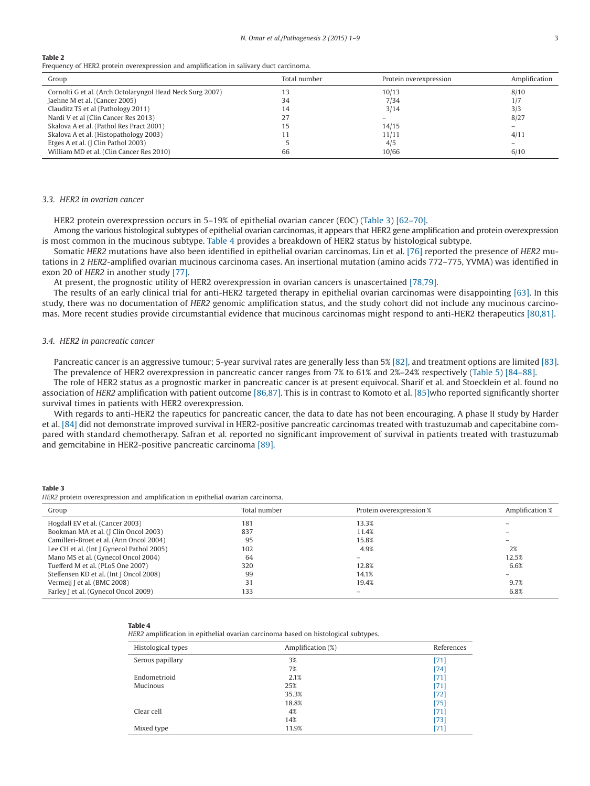#### <span id="page-3-0"></span>**Table 2**

Frequency of HER2 protein overexpression and amplification in salivary duct carcinoma.

| Group                                                     | Total number | Protein overexpression   | Amplification |
|-----------------------------------------------------------|--------------|--------------------------|---------------|
| Cornolti G et al. (Arch Octolaryngol Head Neck Surg 2007) |              | 10/13                    | 8/10          |
| Jaehne M et al. (Cancer 2005)                             | 34           | 7/34                     | 1/7           |
| Clauditz TS et al (Pathology 2011)                        | 14           | 3/14                     | 3/3           |
| Nardi V et al (Clin Cancer Res 2013)                      | 27           | $\overline{\phantom{0}}$ | 8/27          |
| Skalova A et al. (Pathol Res Pract 2001)                  | 15           | 14/15                    |               |
| Skalova A et al. (Histopathology 2003)                    |              | 11/11                    | 4/11          |
| Etges A et al. (J Clin Pathol 2003)                       |              | 4/5                      |               |
| William MD et al. (Clin Cancer Res 2010)                  | 66           | 10/66                    | 6/10          |

#### *3.3. HER2 in ovarian cancer*

HER2 protein overexpression occurs in 5–19% of epithelial ovarian cancer (EOC) (Table 3) [\[62–70\].](#page-7-5)

Among the various histological subtypes of epithelial ovarian carcinomas, it appears that HER2 gene amplification and protein overexpression is most common in the mucinous subtype. Table 4 provides a breakdown of HER2 status by histological subtype.

Somatic *HER2* mutations have also been identified in epithelial ovarian carcinomas. Lin et al. [\[76\]](#page-7-6) reported the presence of *HER2* mutations in 2 *HER2*-amplified ovarian mucinous carcinoma cases. An insertional mutation (amino acids 772–775, YVMA) was identified in exon 20 of *HER2* in another study [\[77\].](#page-7-7)

At present, the prognostic utility of HER2 overexpression in ovarian cancers is unascertained [\[78,79\].](#page-7-8)

The results of an early clinical trial for anti-HER2 targeted therapy in epithelial ovarian carcinomas were disappointing [\[63\].](#page-7-9) In this study, there was no documentation of *HER2* genomic amplification status, and the study cohort did not include any mucinous carcinomas. More recent studies provide circumstantial evidence that mucinous carcinomas might respond to anti-HER2 therapeutics [\[80,81\].](#page-7-10)

#### *3.4. HER2 in pancreatic cancer*

Pancreatic cancer is an aggressive tumour; 5-year survival rates are generally less than 5% [\[82\],](#page-7-11) and treatment options are limited [\[83\].](#page-7-12) The prevalence of HER2 overexpression in pancreatic cancer ranges from 7% to 61% and 2%–24% respectively [\(Table 5\)](#page-4-0) [\[84–88\].](#page-7-13)

The role of HER2 status as a prognostic marker in pancreatic cancer is at present equivocal. Sharif et al. and Stoecklein et al. found no association of *HER2* amplification with patient outcome [\[86,87\].](#page-7-14) This is in contrast to Komoto et al. [\[85\]w](#page-7-15)ho reported significantly shorter survival times in patients with HER2 overexpression.

With regards to anti-HER2 the rapeutics for pancreatic cancer, the data to date has not been encouraging. A phase II study by Harder et al. [\[84\]](#page-7-13) did not demonstrate improved survival in HER2-positive pancreatic carcinomas treated with trastuzumab and capecitabine compared with standard chemotherapy. Safran et al. reported no significant improvement of survival in patients treated with trastuzumab and gemcitabine in HER2-positive pancreatic carcinoma [\[89\].](#page-8-0)

**Table 3**

*HER2* protein overexpression and amplification in epithelial ovarian carcinoma.

| Group                                     | Total number | Protein overexpression % | Amplification % |
|-------------------------------------------|--------------|--------------------------|-----------------|
| Hogdall EV et al. (Cancer 2003)           | 181          | 13.3%                    |                 |
| Bookman MA et al. (J Clin Oncol 2003)     | 837          | 11.4%                    |                 |
| Camilleri-Broet et al. (Ann Oncol 2004)   | 95           | 15.8%                    |                 |
| Lee CH et al. (Int J Gynecol Pathol 2005) | 102          | 4.9%                     | 2%              |
| Mano MS et al. (Gynecol Oncol 2004)       | 64           |                          | 12.5%           |
| Tuefferd M et al. (PLoS One 2007)         | 320          | 12.8%                    | 6.6%            |
| Steffensen KD et al. (Int J Oncol 2008)   | 99           | 14.1%                    |                 |
| Vermeij J et al. (BMC 2008)               | 31           | 19.4%                    | 9.7%            |
| Farley J et al. (Gynecol Oncol 2009)      | 133          | $\overline{\phantom{0}}$ | 6.8%            |

#### **Table 4**

*HER2* amplification in epithelial ovarian carcinoma based on histological subtypes.

| Histological types | Amplification (%) | References |
|--------------------|-------------------|------------|
| Serous papillary   | 3%                | $[71]$     |
|                    | 7%                | $[74]$     |
| Endometrioid       | 2.1%              | $[71]$     |
| Mucinous           | 25%               | $[71]$     |
|                    | 35.3%             | $[72]$     |
|                    | 18.8%             | $[75]$     |
| Clear cell         | 4%                | $[71]$     |
|                    | 14%               | $[73]$     |
| Mixed type         | 11.9%             | [71]       |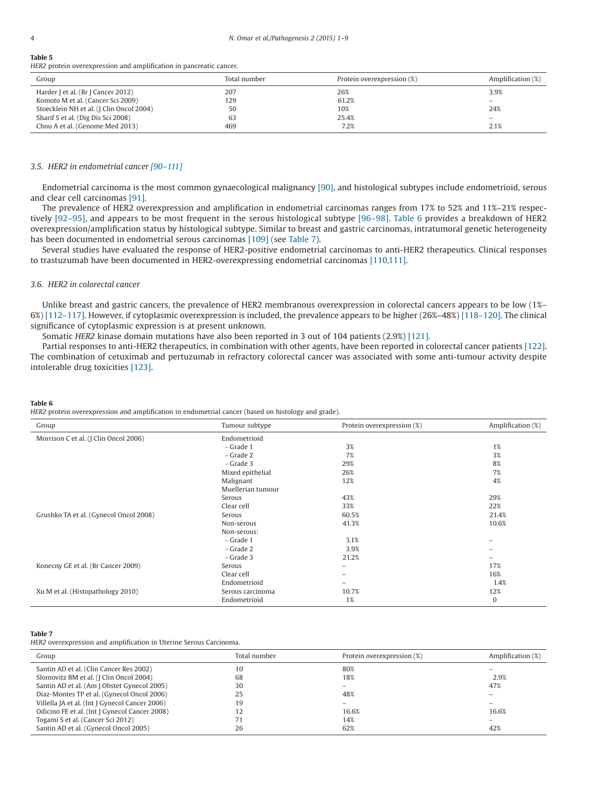#### <span id="page-4-0"></span>**Table 5**

*HER2* protein overexpression and amplification in pancreatic cancer.

| Group                                    | Total number | Protein overexpression (%) | Amplification (%) |
|------------------------------------------|--------------|----------------------------|-------------------|
| Harder J et al. (Br J Cancer 2012)       | 207          | 26%                        | 3.9%              |
| Komoto M et al. (Cancer Sci 2009)        | 129          | 61.2%                      |                   |
| Stoecklein NH et al. (J Clin Oncol 2004) | 50           | 10%                        | 24%               |
| Sharif S et al. (Dig Dis Sci 2008)       | 63           | 25.4%                      | $\qquad \qquad -$ |
| Chou A et al. (Genome Med 2013)          | 469          | 7.2%                       | 2.1%              |

## *3.5. HER2 in endometrial cancer [\[90–111\]](#page-8-1)*

Endometrial carcinoma is the most common gynaecological malignancy [\[90\],](#page-8-1) and histological subtypes include endometrioid, serous and clear cell carcinomas [\[91\].](#page-8-2)

The prevalence of HER2 overexpression and amplification in endometrial carcinomas ranges from 17% to 52% and 11%–21% respectively [\[92–95\],](#page-8-3) and appears to be most frequent in the serous histological subtype [\[96–98\].](#page-8-4) Table 6 provides a breakdown of HER2 overexpression/amplification status by histological subtype. Similar to breast and gastric carcinomas, intratumoral genetic heterogeneity has been documented in endometrial serous carcinomas [\[109\]](#page-8-5) (see Table 7).

Several studies have evaluated the response of HER2-positive endometrial carcinomas to anti-HER2 therapeutics. Clinical responses to trastuzumab have been documented in HER2-overexpressing endometrial carcinomas [\[110,111\].](#page-8-6)

# *3.6. HER2 in colorectal cancer*

Unlike breast and gastric cancers, the prevalence of HER2 membranous overexpression in colorectal cancers appears to be low (1%– 6%) [\[112–117\].](#page-8-7) However, if cytoplasmic overexpression is included, the prevalence appears to be higher (26%–48%) [\[118–120\].](#page-8-8) The clinical significance of cytoplasmic expression is at present unknown.

Somatic *HER2* kinase domain mutations have also been reported in 3 out of 104 patients (2.9%) [\[121\].](#page-8-9)

Partial responses to anti-HER2 therapeutics, in combination with other agents, have been reported in colorectal cancer patients [\[122\].](#page-8-10) The combination of cetuximab and pertuzumab in refractory colorectal cancer was associated with some anti-tumour activity despite intolerable drug toxicities [\[123\].](#page-8-11)

#### **Table 6**

*HER2* protein overexpression and amplification in endometrial cancer (based on histology and grade).

| Group                                  | Tumour subtype    | Protein overexpression (%) | Amplification (%) |
|----------------------------------------|-------------------|----------------------------|-------------------|
| Morrison C et al. (J Clin Oncol 2006)  | Endometrioid      |                            |                   |
|                                        | - Grade 1         | 3%                         | 1%                |
|                                        | - Grade 2         | 7%                         | 3%                |
|                                        | - Grade 3         | 29%                        | 8%                |
|                                        | Mixed epithelial  | 26%                        | 7%                |
|                                        | Malignant         | 12%                        | 4%                |
|                                        | Muellerian tumour |                            |                   |
|                                        | Serous            | 43%                        | 29%               |
|                                        | Clear cell        | 33%                        | 22%               |
| Grushko TA et al. (Gynecol Oncol 2008) | Serous            | 60.5%                      | 21.4%             |
|                                        | Non-serous        | 41.3%                      | 10.6%             |
|                                        | Non-serous:       |                            |                   |
|                                        | - Grade 1         | 3.1%                       | -                 |
|                                        | - Grade 2         | 3.9%                       |                   |
|                                        | - Grade 3         | 21.2%                      |                   |
| Konecny GE et al. (Br Cancer 2009)     | Serous            | $-$                        | 17%               |
|                                        | Clear cell        | -                          | 16%               |
|                                        | Endometrioid      | $-$                        | 1.4%              |
| Xu M et al. (Histopathology 2010)      | Serous carcinoma  | 10.7%                      | 12%               |
|                                        | Endometrioid      | 1%                         | $\mathbf{0}$      |

#### **Table 7**

*HER2* overexpression and amplification in Uterine Serous Carcinoma.

| Group                                          | Total number | Protein overexpression (%) | Amplification (%) |
|------------------------------------------------|--------------|----------------------------|-------------------|
| Santin AD et al. (Clin Cancer Res 2002)        | 10           | 80%                        |                   |
| Slomovitz BM et al. (J Clin Oncol 2004)        | 68           | 18%                        | 2.9%              |
| Santin AD et al. (Am J Obstet Gynecol 2005)    | 30           |                            | 47%               |
| Diaz-Montes TP et al. (Gynecol Oncol 2006)     | 25           | 48%                        |                   |
| Villella JA et al. (Int J Gynecol Cancer 2006) | 19           |                            |                   |
| Odicino FE et al. (Int J Gynecol Cancer 2008)  | 12           | 16.6%                      | 16.6%             |
| Togami S et al. (Cancer Sci 2012)              | 71           | 14%                        |                   |
| Santin AD et al. (Gynecol Oncol 2005)          | 26           | 62%                        | 42%               |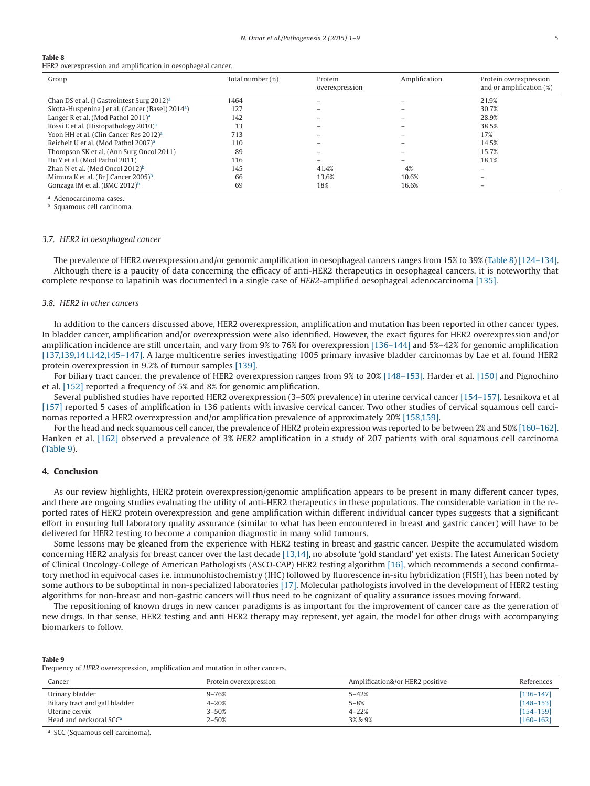#### **Table 8**

HER2 overexpression and amplification in oesophageal cancer.

| Group                                                         | Total number (n) | Protein<br>overexpression | Amplification | Protein overexpression<br>and or amplification $(\%)$ |
|---------------------------------------------------------------|------------------|---------------------------|---------------|-------------------------------------------------------|
| Chan DS et al. (J Gastrointest Surg 2012) <sup>a</sup>        | 1464             |                           |               | 21.9%                                                 |
| Slotta-Huspenina J et al. (Cancer (Basel) 2014 <sup>a</sup> ) | 127              |                           |               | 30.7%                                                 |
| Langer R et al. (Mod Pathol 2011) <sup>a</sup>                | 142              |                           |               | 28.9%                                                 |
| Rossi E et al. (Histopathology 2010) <sup>a</sup>             | 13               |                           |               | 38.5%                                                 |
| Yoon HH et al. (Clin Cancer Res 2012) <sup>a</sup>            | 713              |                           |               | 17%                                                   |
| Reichelt U et al. (Mod Pathol 2007) <sup>a</sup>              | 110              |                           |               | 14.5%                                                 |
| Thompson SK et al. (Ann Surg Oncol 2011)                      | 89               |                           |               | 15.7%                                                 |
| Hu Y et al. (Mod Pathol 2011)                                 | 116              |                           |               | 18.1%                                                 |
| Zhan N et al. (Med Oncol $2012$ <sup>b</sup>                  | 145              | 41.4%                     | 4%            |                                                       |
| Mimura K et al. (Br J Cancer 2005) <sup>b</sup>               | 66               | 13.6%                     | 10.6%         |                                                       |
| Gonzaga IM et al. (BMC 2012) <sup>b</sup>                     | 69               | 18%                       | 16.6%         |                                                       |

<span id="page-5-0"></span><sup>a</sup> Adenocarcinoma cases.

<span id="page-5-1"></span>**b** Squamous cell carcinoma.

#### *3.7. HER2 in oesophageal cancer*

The prevalence of HER2 overexpression and/or genomic amplification in oesophageal cancers ranges from 15% to 39% (Table 8) [\[124–134\].](#page-8-12) Although there is a paucity of data concerning the efficacy of anti-HER2 therapeutics in oesophageal cancers, it is noteworthy that complete response to lapatinib was documented in a single case of *HER2*-amplified oesophageal adenocarcinoma [\[135\].](#page-9-0)

#### *3.8. HER2 in other cancers*

In addition to the cancers discussed above, HER2 overexpression, amplification and mutation has been reported in other cancer types. In bladder cancer, amplification and/or overexpression were also identified. However, the exact figures for HER2 overexpression and/or amplification incidence are still uncertain, and vary from 9% to 76% for overexpression [\[136–144\]](#page-9-1) and 5%–42% for genomic amplification [\[137,139,141,142,145–147\].](#page-9-1) A large multicentre series investigating 1005 primary invasive bladder carcinomas by Lae et al. found HER2 protein overexpression in 9.2% of tumour samples [\[139\].](#page-9-2)

For biliary tract cancer, the prevalence of HER2 overexpression ranges from 9% to 20% [\[148–153\].](#page-9-3) Harder et al. [\[150\]](#page-9-4) and Pignochino et al. [\[152\]](#page-9-5) reported a frequency of 5% and 8% for genomic amplification.

Several published studies have reported HER2 overexpression (3–50% prevalence) in uterine cervical cancer [\[154–157\].](#page-9-6) Lesnikova et al [\[157\]](#page-9-7) reported 5 cases of amplification in 136 patients with invasive cervical cancer. Two other studies of cervical squamous cell carcinomas reported a HER2 overexpression and/or amplification prevalence of approximately 20% [\[158,159\].](#page-9-8)

For the head and neck squamous cell cancer, the prevalence of HER2 protein expression was reported to be between 2% and 50% [\[160–162\].](#page-9-9) Hanken et al. [\[162\]](#page-9-10) observed a prevalence of 3% *HER2* amplification in a study of 207 patients with oral squamous cell carcinoma (Table 9).

#### **4. Conclusion**

As our review highlights, HER2 protein overexpression/genomic amplification appears to be present in many different cancer types, and there are ongoing studies evaluating the utility of anti-HER2 therapeutics in these populations. The considerable variation in the reported rates of HER2 protein overexpression and gene amplification within different individual cancer types suggests that a significant effort in ensuring full laboratory quality assurance (similar to what has been encountered in breast and gastric cancer) will have to be delivered for HER2 testing to become a companion diagnostic in many solid tumours.

Some lessons may be gleaned from the experience with HER2 testing in breast and gastric cancer. Despite the accumulated wisdom concerning HER2 analysis for breast cancer over the last decade [\[13,14\],](#page-6-7) no absolute 'gold standard' yet exists. The latest American Society of Clinical Oncology-College of American Pathologists (ASCO-CAP) HER2 testing algorithm [\[16\],](#page-6-19) which recommends a second confirmatory method in equivocal cases i.e. immunohistochemistry (IHC) followed by fluorescence in-situ hybridization (FISH), has been noted by some authors to be suboptimal in non-specialized laboratories [\[17\].](#page-6-20) Molecular pathologists involved in the development of HER2 testing algorithms for non-breast and non-gastric cancers will thus need to be cognizant of quality assurance issues moving forward.

The repositioning of known drugs in new cancer paradigms is as important for the improvement of cancer care as the generation of new drugs. In that sense, HER2 testing and anti HER2 therapy may represent, yet again, the model for other drugs with accompanying biomarkers to follow.

#### **Table 9**

Frequency of *HER2* overexpression, amplification and mutation in other cancers.

| Cancer                              | Protein overexpression | Amplification&/or HER2 positive | References    |
|-------------------------------------|------------------------|---------------------------------|---------------|
| Urinary bladder                     | $9 - 76%$              | $5 - 42%$                       | $[136 - 147]$ |
| Biliary tract and gall bladder      | $4 - 20%$              | $5 - 8%$                        | $[148 - 153]$ |
| Uterine cervix                      | $3 - 50%$              | $4 - 22%$                       | $[154 - 159]$ |
| Head and neck/oral SCC <sup>a</sup> | $2 - 50%$              | 3% & 9%                         | $[160 - 162]$ |

<span id="page-5-2"></span><sup>a</sup> SCC (Squamous cell carcinoma).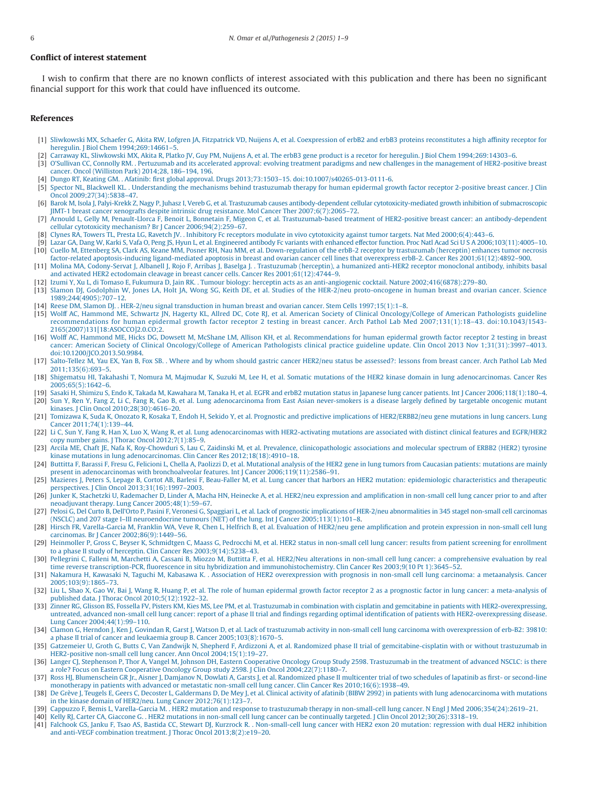# **Conflict of interest statement**

I wish to confirm that there are no known conflicts of interest associated with this publication and there has been no significant financial support for this work that could have influenced its outcome.

#### **References**

- <span id="page-6-0"></span>[1] [Sliwkowski MX, Schaefer G, Akita RW, Lofgren JA, Fitzpatrick VD, Nuijens A, et al. Coexpression of erbB2 and erbB3 proteins reconstitutes a high affinity receptor for](http://refhub.elsevier.com/S2214-6636(15)00003-6/sr0010) [heregulin. J Biol Chem 1994;269:14661–5.](http://refhub.elsevier.com/S2214-6636(15)00003-6/sr0010)
- [2] [Carraway KL, Sliwkowski MX, Akita R, Platko JV, Guy PM, Nuijens A, et al. The erbB3 gene product is a recetor for heregulin. J Biol Chem 1994;269:14303–6.](http://refhub.elsevier.com/S2214-6636(15)00003-6/sr0015)
- <span id="page-6-1"></span>[3] [O'Sullivan CC, Connolly RM. . Pertuzumab and its accelerated approval: evolving treatment paradigms and new challenges in the management of HER2-positive breast](http://refhub.elsevier.com/S2214-6636(15)00003-6/sr0020) [cancer. Oncol \(Williston Park\) 2014;28, 186–194, 196.](http://refhub.elsevier.com/S2214-6636(15)00003-6/sr0020)
- [4] [Dungo RT, Keating GM. . Afatinib: first global approval. Drugs 2013;73:1503–15. doi:10.1007/s40265-013-0111-6.](http://refhub.elsevier.com/S2214-6636(15)00003-6/sr0025)
- <span id="page-6-2"></span>[5] [Spector NL, Blackwell KL. . Understanding the mechanisms behind trastuzumab therapy for human epidermal growth factor receptor 2-positive breast cancer. J Clin](http://refhub.elsevier.com/S2214-6636(15)00003-6/sr0030) [Oncol 2009;27\(34\):5838–47.](http://refhub.elsevier.com/S2214-6636(15)00003-6/sr0030)
- <span id="page-6-3"></span>[6] [Barok M, Isola J, Palyi-Krekk Z, Nagy P, Juhasz I, Vereb G, et al. Trastuzumab causes antibody-dependent cellular cytotoxicity-mediated growth inhibition of submacroscopic](http://refhub.elsevier.com/S2214-6636(15)00003-6/sr0035) [JIMT-1 breast cancer xenografts despite intrinsic drug resistance. Mol Cancer Ther 2007;6\(7\):2065–72.](http://refhub.elsevier.com/S2214-6636(15)00003-6/sr0035)
- [7] [Arnould L, Gelly M, Penault-Llorca F, Benoit L, Bonnetain F, Migeon C, et al. Trastuzumab-based treatment of HER2-positive breast cancer: an antibody-dependent](http://refhub.elsevier.com/S2214-6636(15)00003-6/sr0040) [cellular cytotoxicity mechanism? Br J Cancer 2006;94\(2\):259–67.](http://refhub.elsevier.com/S2214-6636(15)00003-6/sr0040)
- [8] [Clynes RA, Towers TL, Presta LG, Ravetch JV. . Inhibitory Fc receptors modulate in vivo cytotoxicity against tumor targets. Nat Med 2000;6\(4\):443–6.](http://refhub.elsevier.com/S2214-6636(15)00003-6/sr0045)
- <span id="page-6-4"></span>[9] [Lazar GA, Dang W, Karki S, Vafa O, Peng JS, Hyun L, et al. Engineered antibody Fc variants with enhanced effector function. Proc Natl Acad SciUSA](http://refhub.elsevier.com/S2214-6636(15)00003-6/sr0050) 2006;103(11):4005–10. [10] [Cuello M, Ettenberg SA, Clark AS, Keane MM, Posner RH, Nau MM, et al. Down-regulation of the erbB-2 receptor by trastuzumab \(herceptin\) enhances tumor](http://refhub.elsevier.com/S2214-6636(15)00003-6/sr0055) necrosis [factor-related apoptosis-inducing ligand-mediated apoptosis in breast and ovarian cancer cell lines that overexpress erbB-2. Cancer Res 2001;61\(12\):4892–900.](http://refhub.elsevier.com/S2214-6636(15)00003-6/sr0055)
- <span id="page-6-5"></span>[11] [Molina MA, Codony-Servat J, Albanell J, Rojo F, Arribas J, Baselga J. . Trastuzumab \(herceptin\), a humanized anti-HER2 receptor monoclonal antibody, inhibits basal](http://refhub.elsevier.com/S2214-6636(15)00003-6/sr0060) [and activated HER2 ectodomain cleavage in breast cancer cells. Cancer Res 2001;61\(12\):4744–9.](http://refhub.elsevier.com/S2214-6636(15)00003-6/sr0060)
- <span id="page-6-6"></span>[12] [Izumi Y, Xu L, di Tomaso E, Fukumura D, Jain RK. . Tumour biology: herceptin acts as an anti-angiogenic cocktail. Nature 2002;416\(6878\):279–80.](http://refhub.elsevier.com/S2214-6636(15)00003-6/sr0065)
- <span id="page-6-7"></span>[13] [Slamon DJ, Godolphin W, Jones LA, Holt JA, Wong SG, Keith DE, et al. Studies of the HER-2/neu proto-oncogene in human breast and ovarian cancer. Science](http://refhub.elsevier.com/S2214-6636(15)00003-6/sr0070) [1989;244\(4905\):707–12.](http://refhub.elsevier.com/S2214-6636(15)00003-6/sr0070)
- [14] [Reese DM, Slamon DJ. . HER-2/neu signal transduction in human breast and ovarian cancer. Stem Cells 1997;15\(1\):1–8.](http://refhub.elsevier.com/S2214-6636(15)00003-6/sr0075)
- [15] [Wolff AC, Hammond ME, Schwartz JN, Hagerty KL, Allred DC, Cote RJ, et al. American Society of Clinical Oncology/College of American Pathologists guideline](http://refhub.elsevier.com/S2214-6636(15)00003-6/sr0080) [recommendations for human epidermal growth factor receptor 2 testing in breast cancer. Arch Pathol Lab Med 2007;131\(1\):18–43. doi:10.1043/1543-](http://refhub.elsevier.com/S2214-6636(15)00003-6/sr0080) [2165\(2007\)131\[18:ASOCCO\]2.0.CO;2.](http://refhub.elsevier.com/S2214-6636(15)00003-6/sr0080)
- <span id="page-6-19"></span>[16] [Wolff AC, Hammond ME, Hicks DG, Dowsett M, McShane LM, Allison KH, et al. Recommendations for human epidermal growth factor receptor 2 testing in breast](http://refhub.elsevier.com/S2214-6636(15)00003-6/sr0085) [cancer: American Society of Clinical Oncology/College of American Pathologists clinical practice guideline update. Clin Oncol 2013 Nov 1;31\(31\):3997–4013.](http://refhub.elsevier.com/S2214-6636(15)00003-6/sr0085) [doi:10.1200/JCO.2013.50.9984.](http://refhub.elsevier.com/S2214-6636(15)00003-6/sr0085)
- <span id="page-6-20"></span>[17] [Salto-Tellez M, Yau EX, Yan B, Fox SB. . Where and by whom should gastric cancer HER2/neu status be assessed?: lessons from breast cancer. Arch Pathol Lab Med](http://refhub.elsevier.com/S2214-6636(15)00003-6/sr0090) [2011;135\(6\):693–5.](http://refhub.elsevier.com/S2214-6636(15)00003-6/sr0090)
- <span id="page-6-8"></span>[18] [Shigematsu HI, Takahashi T, Nomura M, Majmudar K, Suzuki M, Lee H, et al. Somatic mutations of the HER2 kinase domain in lung adenocarcinomas. Cancer Res](http://refhub.elsevier.com/S2214-6636(15)00003-6/sr0095) [2005;65\(5\):1642–6.](http://refhub.elsevier.com/S2214-6636(15)00003-6/sr0095)
- <span id="page-6-9"></span>[19] [Sasaki H, Shimizu S, Endo K, Takada M, Kawahara M, Tanaka H, et al. EGFR and erbB2 mutation status in Japanese lung cancer patients. Int J Cancer 2006;118\(1\):180–4.](http://refhub.elsevier.com/S2214-6636(15)00003-6/sr0100) [20] [Sun Y, Ren Y, Fang Z, Li C, Fang R, Gao B, et al. Lung adenocarcinoma from East Asian never-smokers is a disease largely defined by targetable oncogenic mutant](http://refhub.elsevier.com/S2214-6636(15)00003-6/sr0105)
- [kinases. J Clin Oncol 2010;28\(30\):4616–20.](http://refhub.elsevier.com/S2214-6636(15)00003-6/sr0105) [21] [Tomizawa K, Suda K, Onozato R, Kosaka T, Endoh H, Sekido Y, et al. Prognostic and predictive implications of HER2/ERBB2/neu gene mutations in lung cancers. Lung](http://refhub.elsevier.com/S2214-6636(15)00003-6/sr0110) [Cancer 2011;74\(1\):139–44.](http://refhub.elsevier.com/S2214-6636(15)00003-6/sr0110)
- [22] [Li C, Sun Y, Fang R, Han X, Luo X, Wang R, et al. Lung adenocarcinomas with HER2-activating mutations are associated with distinct clinical features and](http://refhub.elsevier.com/S2214-6636(15)00003-6/sr0115) EGFR/HER2 [copy number gains. J Thorac Oncol 2012;7\(1\):85–9.](http://refhub.elsevier.com/S2214-6636(15)00003-6/sr0115)
- <span id="page-6-10"></span>[23] [Arcila ME, Chaft JE, Nafa K, Roy-Chowduri S, Lau C, Zaidinski M, et al. Prevalence, clinicopathologic associations and molecular spectrum of ERBB2 \(HER2\) tyrosine](http://refhub.elsevier.com/S2214-6636(15)00003-6/sr0120) [kinase mutations in lung adenocarcinomas. Clin Cancer Res 2012;18\(18\):4910–18.](http://refhub.elsevier.com/S2214-6636(15)00003-6/sr0120)
- <span id="page-6-11"></span>[24] [Buttitta F, Barassi F, Fresu G, Felicioni L, Chella A, Paolizzi D, et al. Mutational analysis of the HER2 gene in lung tumors from Caucasian patients: mutations are mainly](http://refhub.elsevier.com/S2214-6636(15)00003-6/sr0125) [present in adenocarcinomas with bronchoalveolar features. Int J Cancer 2006;119\(11\):2586–91.](http://refhub.elsevier.com/S2214-6636(15)00003-6/sr0125)
- <span id="page-6-12"></span>[25] [Mazieres J, Peters S, Lepage B, Cortot AB, Barlesi F, Beau-Faller M, et al. Lung cancer that harbors an HER2 mutation: epidemiologic characteristics and therapeutic](http://refhub.elsevier.com/S2214-6636(15)00003-6/sr0130) [perspectives. J Clin Oncol 2013;31\(16\):1997–2003.](http://refhub.elsevier.com/S2214-6636(15)00003-6/sr0130)
- <span id="page-6-13"></span>[26] [Junker K, Stachetzki U, Rademacher D, Linder A, Macha HN, Heinecke A, et al. HER2/neu expression and amplification in non-small cell lung cancer prior to and after](http://refhub.elsevier.com/S2214-6636(15)00003-6/sr0135) [neoadjuvant therapy. Lung Cancer 2005;48\(1\):59–67.](http://refhub.elsevier.com/S2214-6636(15)00003-6/sr0135)
- [27] [Pelosi G, Del Curto B, Dell'Orto P, Pasini F, Veronesi G, Spaggiari L, et al. Lack of prognostic implications of HER-2/neu abnormalities in 345 stageI non-small cell carcinomas](http://refhub.elsevier.com/S2214-6636(15)00003-6/sr0140) [\(NSCLC\) and 207 stage I–III neuroendocrine tumours \(NET\) of the lung. Int J Cancer 2005;113\(1\):101–8.](http://refhub.elsevier.com/S2214-6636(15)00003-6/sr0140)
- [28] [Hirsch FR, Varella-Garcia M, Franklin WA, Veve R, Chen L, Helfrich B, et al. Evaluation of HER2/neu gene amplification and protein expression in non-small cell lung](http://refhub.elsevier.com/S2214-6636(15)00003-6/sr0145) [carcinomas. Br J Cancer 2002;86\(9\):1449–56.](http://refhub.elsevier.com/S2214-6636(15)00003-6/sr0145)
- [29] [Heinmoller P, Gross C, Beyser K, Schmidtgen C, Maass G, Pedrocchi M, et al. HER2 status in non-small cell lung cancer: results from patient screening for enrollment](http://refhub.elsevier.com/S2214-6636(15)00003-6/sr0150) [to a phase II study of herceptin. Clin Cancer Res 2003;9\(14\):5238–43.](http://refhub.elsevier.com/S2214-6636(15)00003-6/sr0150)
- [30] [Pellegrini C, Falleni M, Marchetti A, Cassani B, Miozzo M, Buttitta F, et al. HER2/Neu alterations in non-small cell lung cancer: a comprehensive evaluation by real](http://refhub.elsevier.com/S2214-6636(15)00003-6/sr0155) [time reverse transcription-PCR, fluorescence in situ hybridization and immunohistochemistry. Clin Cancer Res 2003;9\(10 Pt 1\):3645–52.](http://refhub.elsevier.com/S2214-6636(15)00003-6/sr0155)
- <span id="page-6-14"></span>[31] [Nakamura H, Kawasaki N, Taguchi M, Kabasawa K. . Association of HER2 overexpression with prognosis in non-small cell lung carcinoma: a metaanalysis.](http://refhub.elsevier.com/S2214-6636(15)00003-6/sr0160) Cancer [2005;103\(9\):1865–73.](http://refhub.elsevier.com/S2214-6636(15)00003-6/sr0160)
- <span id="page-6-15"></span>[32] [Liu L, Shao X, Gao W, Bai J, Wang R, Huang P, et al. The role of human epidermal growth factor receptor 2 as a prognostic factor in lung cancer: a meta-analysis of](http://refhub.elsevier.com/S2214-6636(15)00003-6/sr0165) [published data. J Thorac Oncol 2010;5\(12\):1922–32.](http://refhub.elsevier.com/S2214-6636(15)00003-6/sr0165)
- <span id="page-6-16"></span>[33] Zinner RG, Glisson BS, Fossella FV, Pisters KM, Kies MS, Lee PM, et al. Trastuzumab in combination with cisplatin and gemcitabine in patients with HER2-overexpressing. [untreated, advanced non-small cell lung cancer: report of a phase II trial and findings regarding optimal identification of patients with HER2-overexpressing disease.](http://refhub.elsevier.com/S2214-6636(15)00003-6/sr0170) [Lung Cancer 2004;44\(1\):99–110.](http://refhub.elsevier.com/S2214-6636(15)00003-6/sr0170)
- [34] [Clamon G, Herndon J, Ken J, Govindan R, Garst J, Watson D, et al. Lack of trastuzumab activity in non-small cell lung carcinoma with overexpression of erb-B2: 39810:](http://refhub.elsevier.com/S2214-6636(15)00003-6/sr0175) [a phase II trial of cancer and leukaemia group B. Cancer 2005;103\(8\):1670–5.](http://refhub.elsevier.com/S2214-6636(15)00003-6/sr0175)
- <span id="page-6-17"></span>[35] [Gatzemeier U, Groth G, Butts C, Van Zandwijk N, Shepherd F, Ardizzoni A, et al. Randomized phase II trial of gemcitabine-cisplatin with or without trastuzumab in](http://refhub.elsevier.com/S2214-6636(15)00003-6/sr0180) [HER2-positive non-small cell lung cancer. Ann Oncol 2004;15\(1\):19–27.](http://refhub.elsevier.com/S2214-6636(15)00003-6/sr0180)
- [36] [Langer CJ, Stephenson P, Thor A, Vangel M, Johnson DH, Eastern Cooperative Oncology Group Study 2598. Trastuzumab in the treatment of advanced NSCLC:](http://refhub.elsevier.com/S2214-6636(15)00003-6/sr0185) is there [a role? Focus on Eastern Cooperative Oncology Group study 2598. J Clin Oncol 2004;22\(7\):1180–7.](http://refhub.elsevier.com/S2214-6636(15)00003-6/sr0185)
- <span id="page-6-18"></span>[37] [Ross HJ, Blumenschein GR Jr., Aisner J, Damjanov N, Dowlati A, Garsts J, et al. Randomized phase II multicenter trial of two schedules of lapatinib as first- or second-line](http://refhub.elsevier.com/S2214-6636(15)00003-6/sr0190) [monotherapy in patients with advanced or metastatic non-small cell lung cancer. Clin Cancer Res 2010;16\(6\):1938–49.](http://refhub.elsevier.com/S2214-6636(15)00003-6/sr0190)
- [38] [De Grève J, Teugels E, Geers C, Decoster L, Galdermans D, De Mey J, et al. Clinical activity of afatinib \(BIBW 2992\) in patients with lung adenocarcinoma](http://refhub.elsevier.com/S2214-6636(15)00003-6/sr0195) with mutations [in the kinase domain of HER2/neu. Lung Cancer 2012;76\(1\):123–7.](http://refhub.elsevier.com/S2214-6636(15)00003-6/sr0195)
- [39] [Cappuzzo F, Bemis L, Varella-Garcia M. . HER2 mutation and response to trastuzumab therapy in non-small-cell lung cancer. N Engl J Med 2006;354\(24\):2619–21.](http://refhub.elsevier.com/S2214-6636(15)00003-6/sr0200)
- [40] [Kelly RJ, Carter CA, Giaccone G. . HER2 mutations in non-small cell lung cancer can be continually targeted. J Clin Oncol 2012;30\(26\):3318–19.](http://refhub.elsevier.com/S2214-6636(15)00003-6/sr0205)
- [41] [Falchook GS, Janku F, Tsao AS, Bastida CC, Stewart DJ, Kurzrock R. . Non-small-cell lung cancer with HER2 exon 20 mutation: regression with dual HER2 inhibition](http://refhub.elsevier.com/S2214-6636(15)00003-6/sr0210) [and anti-VEGF combination treatment. J Thorac Oncol 2013;8\(2\):e19–20.](http://refhub.elsevier.com/S2214-6636(15)00003-6/sr0210)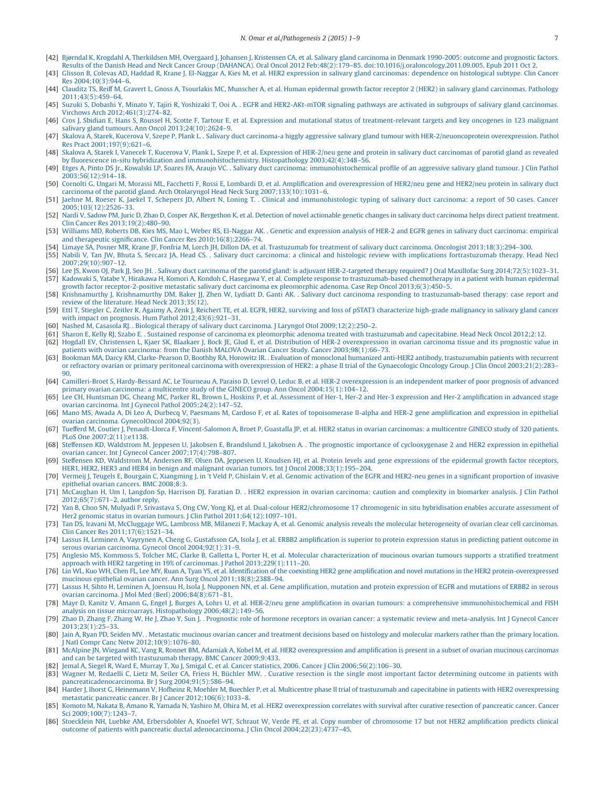- <span id="page-7-0"></span>[42] [Bjørndal K, Krogdahl A, Therkildsen MH, Overgaard J, Johansen J, Kristensen CA, et al. Salivary gland carcinoma in Denmark 1990-2005: outcome and prognostic factors.](http://refhub.elsevier.com/S2214-6636(15)00003-6/sr0215) [Results of the Danish Head and Neck Cancer Group \(DAHANCA\). Oral Oncol 2012 Feb;48\(2\):179–85. doi:10.1016/j.oraloncology.2011.09.005, Epub 2011](http://refhub.elsevier.com/S2214-6636(15)00003-6/sr0215) Oct 2.
- <span id="page-7-1"></span>[43] [Glisson B, Colevas AD, Haddad R, Krane J, El-Naggar A, Kies M, et al. HER2 expression in salivary gland carcinomas: dependence on histological subtype. Clin Cancer](http://refhub.elsevier.com/S2214-6636(15)00003-6/sr0220) [Res 2004;10\(3\):944–6.](http://refhub.elsevier.com/S2214-6636(15)00003-6/sr0220)
- [44] [Clauditz TS, Reiff M, Gravert L, Gnoss A, Tsourlakis MC, Munscher A, et al. Human epidermal growth factor receptor 2 \(HER2\) in salivary gland carcinomas. Pathology](http://refhub.elsevier.com/S2214-6636(15)00003-6/sr0225) [2011;43\(5\):459–64.](http://refhub.elsevier.com/S2214-6636(15)00003-6/sr0225)
- [45] [Suzuki S, Dobashi Y, Minato Y, Tajiri R, Yoshizaki T, Ooi A. . EGFR and HER2-AKt-mTOR signaling pathways are activated in subgroups of salivary gland carcinomas.](http://refhub.elsevier.com/S2214-6636(15)00003-6/sr0230) [Virchows Arch 2012;461\(3\):274–82.](http://refhub.elsevier.com/S2214-6636(15)00003-6/sr0230)
- [46] [Cros J, Sbidian E, Hans S, Roussel H, Scotte F, Tartour E, et al. Expression and mutational status of treatment-relevant targets and key oncogenes in 123 malignant](http://refhub.elsevier.com/S2214-6636(15)00003-6/sr0235) [salivary gland tumours. Ann Oncol 2013;24\(10\):2624–9.](http://refhub.elsevier.com/S2214-6636(15)00003-6/sr0235)
- <span id="page-7-2"></span>[47] [Skalova A, Starek, Kucerova V, Szepe P, Plank L. . Salivary duct carcinoma-a higgly aggressive salivary gland tumour with HER-2/neuoncoprotein overexpression. Pathol](http://refhub.elsevier.com/S2214-6636(15)00003-6/sr0240) [Res Pract 2001;197\(9\):621–6.](http://refhub.elsevier.com/S2214-6636(15)00003-6/sr0240)
- <span id="page-7-3"></span>[48] [Skalova A, Starek I, Vanecek T, Kucerova V, Plank L, Szepe P, et al. Expression of HER-2/neu gene and protein in salivary duct carcinomas of parotid gland as revealed](http://refhub.elsevier.com/S2214-6636(15)00003-6/sr0245) [by fluorescence in-situ hybridization and immunohistochemistry. Histopathology 2003;42\(4\):348–56.](http://refhub.elsevier.com/S2214-6636(15)00003-6/sr0245)
- [49] [Etges A, Pinto DS Jr., Kowalski LP, Soares FA, Araujo VC. . Salivary duct carcinoma: immunohistochemical profile of an aggressive salivary gland tumour. J Clin Pathol](http://refhub.elsevier.com/S2214-6636(15)00003-6/sr0250) [2003;56\(12\):914–18.](http://refhub.elsevier.com/S2214-6636(15)00003-6/sr0250)
- [50] [Cornolti G, Ungari M, Morassi ML, Facchetti F, Rossi E, Lombardi D, et al. Amplification and overexpression of HER2/neu gene and HER2/neu protein in salivary duct](http://refhub.elsevier.com/S2214-6636(15)00003-6/sr0255) [carcinoma of the parotid gland. Arch Otolaryngol Head Neck Surg 2007;133\(10\):1031–6.](http://refhub.elsevier.com/S2214-6636(15)00003-6/sr0255)
- [51] [Jaehne M, Roeser K, Jaekel T, Schepers JD, Albert N, Loning T. . Clinical and immunohistologic typing of salivary duct carcinoma: a report of 50 cases. Cancer](http://refhub.elsevier.com/S2214-6636(15)00003-6/sr0260) [2005;103\(12\):2526–33.](http://refhub.elsevier.com/S2214-6636(15)00003-6/sr0260)
- [52] [Nardi V, Sadow PM, Juric D, Zhao D, Cosper AK, Bergethon K, et al. Detection of novel actionable genetic changes in salivary duct carcinoma helps direct](http://refhub.elsevier.com/S2214-6636(15)00003-6/sr0265) patient treatment. [Clin Cancer Res 2013;19\(2\):480–90.](http://refhub.elsevier.com/S2214-6636(15)00003-6/sr0265)
- [53] [Williams MD, Roberts DB, Kies MS, Mao L, Weber RS, El-Naggar AK. . Genetic and expression analysis of HER-2 and EGFR genes in salivary duct carcinoma: empirical](http://refhub.elsevier.com/S2214-6636(15)00003-6/sr0270) [and therapeutic significance. Clin Cancer Res 2010;16\(8\):2266–74.](http://refhub.elsevier.com/S2214-6636(15)00003-6/sr0270)
- <span id="page-7-4"></span>[54] [Limaye SA, Posner MR, Krane JF, Fonfria M, Lorch JH, Dillon DA, et al. Trastuzumab for treatment of salivary duct carcinoma. Oncologist 2013;18\(3\):294–300.](http://refhub.elsevier.com/S2214-6636(15)00003-6/sr0275)
- [55] [Nabili V, Tan JW, Bhuta S, Sercarz JA, Head CS. . Salivary duct carcinoma: a clinical and histologic review with implications fortrastuzumab therapy.](http://refhub.elsevier.com/S2214-6636(15)00003-6/sr0280) Head Necl  $2007:29(10):907-12$
- [56] [Lee JS, Kwon OJ, Park JJ, Seo JH. . Salivary duct carcinoma of the parotid gland: is adjuvant HER-2-targeted therapy required? J Oral Maxillofac Surg 2014;72\(5\):1023–31.](http://refhub.elsevier.com/S2214-6636(15)00003-6/sr0285) [57] [Kadowaki S, Yatabe Y, Hirakawa H, Komori A, Kondoh C, Hasegawa Y, et al. Complete response to trastuzumab-based chemotherapy in a patient with human epidermal](http://refhub.elsevier.com/S2214-6636(15)00003-6/sr0290) [growth factor receptor-2-positive metastatic salivary duct carcinoma ex pleomorphic adenoma. Case Rep Oncol 2013;6\(3\):450–5.](http://refhub.elsevier.com/S2214-6636(15)00003-6/sr0290)
- [58] [Krishnamurthy J, Krishnamurthy DM, Baker JJ, Zhen W, Lydiatt D, Ganti AK. . Salivary duct carcinoma responding to trastuzumab-based therapy: case report and](http://refhub.elsevier.com/S2214-6636(15)00003-6/sr0295) [review of the literature. Head Neck 2013;35\(12\).](http://refhub.elsevier.com/S2214-6636(15)00003-6/sr0295)
- [59] [Ettl T, Stiegler C, Zeitler K, Agaimy A, Zenk J, Reichert TE, et al. EGFR, HER2, surviving and loss of pSTAT3 characterize high-grade malignancy in salivary gland cancer](http://refhub.elsevier.com/S2214-6636(15)00003-6/sr0300) [with impact on prognosis. Hum Pathol 2012;43\(6\):921–31.](http://refhub.elsevier.com/S2214-6636(15)00003-6/sr0300)
- [60] [Nashed M, Casasola RJ. . Biological therapy of salivary duct carcinoma. J Laryngol Otol 2009;12\(2\):250–2.](http://refhub.elsevier.com/S2214-6636(15)00003-6/sr0305)
- [61] [Sharon E, Kelly RJ, Szabo E. . Sustained response of carcinoma ex pleomorphic adenoma treated with trastuzumab and capecitabine. Head Neck Oncol 2012;2:12.](http://refhub.elsevier.com/S2214-6636(15)00003-6/sr0310)
- <span id="page-7-5"></span>[62] [Hogdall EV, Christensen L, Kjaer SK, Blaakaer J, Bock JE, Glud E, et al. Distribution of HER-2 overexpression in ovarian carcinoma tissue and its prognostic value in](http://refhub.elsevier.com/S2214-6636(15)00003-6/sr0315) [patients with ovarian carcinoma: from the Danish MALOVA Ovarian Cancer Study. Cancer 2003;98\(1\):66–73.](http://refhub.elsevier.com/S2214-6636(15)00003-6/sr0315)
- <span id="page-7-9"></span>[63] [Bookman MA, Darcy KM, Clarke-Pearson D, Boothby RA, Horowitz IR. . Evaluation of monoclonal humanized anti-HER2 antibody, trastuzumabin patients with recurrent](http://refhub.elsevier.com/S2214-6636(15)00003-6/sr0320) [or refractory ovarian or primary peritoneal carcinoma with overexpression of HER2: a phase II trial of the Gynaecologic Oncology Group. J Clin Oncol 2003;21\(2\):283–](http://refhub.elsevier.com/S2214-6636(15)00003-6/sr0320) [90.](http://refhub.elsevier.com/S2214-6636(15)00003-6/sr0320)
- [64] [Camilleri-Broet S, Hardy-Bessard AC, Le Tourneau A, Paraiso D, Levrel O, Leduc B, et al. HER-2 overexpression is an independent marker of poor prognosis of advanced](http://refhub.elsevier.com/S2214-6636(15)00003-6/sr0325) [primary ovarian carcinoma: a multicentre study of the GINECO group. Ann Oncol 2004;15\(1\):104–12.](http://refhub.elsevier.com/S2214-6636(15)00003-6/sr0325)
- [65] [Lee CH, Huntsman DG, Cheang MC, Parker RL, Brown L, Hoskins P, et al. Assessment of Her-1, Her-2 and Her-3 expression and Her-2 amplification in advanced](http://refhub.elsevier.com/S2214-6636(15)00003-6/sr0330) stage [ovarian carcinoma. Int J Gynecol Pathol 2005;24\(2\):147–52.](http://refhub.elsevier.com/S2214-6636(15)00003-6/sr0330)
- [66] [Mano MS, Awada A, Di Leo A, Durbecq V, Paesmans M, Cardoso F, et al. Rates of topoisomerase II-alpha and HER-2 gene amplification and expression in epithelial](http://refhub.elsevier.com/S2214-6636(15)00003-6/sr0335) [ovarian carcinoma. GynecolOncol 2004;92\(3\).](http://refhub.elsevier.com/S2214-6636(15)00003-6/sr0335)
- [67] [Tuefferd M, Coutier J, Penault-Llorca F, Vincent-Salomon A, Broet P, Guastalla JP, et al. HER2 status in ovarian carcinomas: a multicentre GINECO study of 320 patients.](http://refhub.elsevier.com/S2214-6636(15)00003-6/sr0340) [PLoS One 2007;2\(11\):e1138.](http://refhub.elsevier.com/S2214-6636(15)00003-6/sr0340)
- [68] [Steffensen KD, Waldstrom M, Jeppesen U, Jakobsen E, Brandslund I, Jakobsen A. . The prognostic importance of cyclooxygenase 2 and HER2 expression in epithelial](http://refhub.elsevier.com/S2214-6636(15)00003-6/sr0345) [ovarian cancer. Int J Gynecol Cancer 2007;17\(4\):798–807.](http://refhub.elsevier.com/S2214-6636(15)00003-6/sr0345)
- [69] [Steffensen KD, Waldstrom M, Andersen RF, Olsen DA, Jeppesen U, Knudsen HJ, et al. Protein levels and gene expressions of the epidermal growth factor receptors,](http://refhub.elsevier.com/S2214-6636(15)00003-6/sr0350) [HER1, HER2, HER3 and HER4 in benign and malignant ovarian tumors. Int J Oncol 2008;33\(1\):195–204.](http://refhub.elsevier.com/S2214-6636(15)00003-6/sr0350)
- [70] [Vermeij J, Teugels E, Bourgain C, Xiangming J, in 't Veld P, Ghislain V, et al. Genomic activation of the EGFR and HER2-neu genes in a significant proportion of invasive](http://refhub.elsevier.com/S2214-6636(15)00003-6/sr0355) [epithelial ovarian cancers. BMC 2008;8:3.](http://refhub.elsevier.com/S2214-6636(15)00003-6/sr0355)
- <span id="page-7-16"></span>[71] [McCaughan H, Um I, Langdon Sp, Harrison DJ, Faratian D. . HER2 expression in ovarian carcinoma: caution and complexity in biomarker analysis. J Clin Pathol](http://refhub.elsevier.com/S2214-6636(15)00003-6/sr0360) [2012;65\(7\):671–2, author reply.](http://refhub.elsevier.com/S2214-6636(15)00003-6/sr0360)
- <span id="page-7-18"></span>[72] [Yan B, Choo SN, Mulyadi P, Srivastava S, Ong CW, Yong KJ, et al. Dual-colour HER2/chromosome 17 chromogenic in situ hybridisation enables accurate assessment of](http://refhub.elsevier.com/S2214-6636(15)00003-6/sr0365) [Her2 genomic status in ovarian tumours. J Clin Pathol 2011;64\(12\):1097–101.](http://refhub.elsevier.com/S2214-6636(15)00003-6/sr0365)
- <span id="page-7-20"></span>[73] [Tan DS, Iravani M, McCluggage WG, Lambross MB, Milanezi F, Mackay A, et al. Genomic analysis reveals the molecular heterogeneity of ovarian clear cell](http://refhub.elsevier.com/S2214-6636(15)00003-6/sr0370) carcinomas. [Clin Cancer Res 2011;17\(6\):1521–34.](http://refhub.elsevier.com/S2214-6636(15)00003-6/sr0370)
- <span id="page-7-17"></span>[74] [Lassus H, Leminen A, Vayrynen A, Cheng G, Gustafsson GA, Isola J, et al. ERBB2 amplification is superior to protein expression status in predicting patient outcome in](http://refhub.elsevier.com/S2214-6636(15)00003-6/sr0375) [serous ovarian carcinoma. Gynecol Oncol 2004;92\(1\):31–9.](http://refhub.elsevier.com/S2214-6636(15)00003-6/sr0375)
- <span id="page-7-19"></span>[75] [Anglesio MS, Kommoss S, Tolcher MC, Clarke B, Galletta L, Porter H, et al. Molecular characterization of mucinous ovarian tumours supports a stratified treatment](http://refhub.elsevier.com/S2214-6636(15)00003-6/sr0380) [approach with HER2 targeting in 19% of carcinomas. J Pathol 2013;229\(1\):111–20.](http://refhub.elsevier.com/S2214-6636(15)00003-6/sr0380)
- <span id="page-7-6"></span>[76] [Lin WL, Kuo WH, Chen FL, Lee MY, Ruan A, Tyan YS, et al. Identification of the coexisting HER2 gene amplification and novel mutations in the HER2 protein-overexpressed](http://refhub.elsevier.com/S2214-6636(15)00003-6/sr0385) [mucinous epithelial ovarian cancer. Ann Surg Oncol 2011;18\(8\):2388–94.](http://refhub.elsevier.com/S2214-6636(15)00003-6/sr0385)
- <span id="page-7-8"></span><span id="page-7-7"></span>[77] [Lassus H, Sihto H, Leminen A, Joensuu H, Isola J, Nupponen NN, et al. Gene amplification, mutation and protein expression of EGFR and mutations of ERBB2 in serous](http://refhub.elsevier.com/S2214-6636(15)00003-6/sr0390) [ovarian carcinoma. J Mol Med \(Berl\) 2006;84\(8\):671–81.](http://refhub.elsevier.com/S2214-6636(15)00003-6/sr0390) [78] [Mayr D, Kanitz V, Amann G, Engel J, Burges A, Lohrs U, et al. HER-2/neu gene amplification in ovarian tumours: a comprehensive immunohistochemical and FISH](http://refhub.elsevier.com/S2214-6636(15)00003-6/sr0395)
- [analysis on tissue microarrays. Histopathology 2006;48\(2\):149–56.](http://refhub.elsevier.com/S2214-6636(15)00003-6/sr0395)
- <span id="page-7-10"></span>[79] [Zhao D, Zhang F, Zhang W, He J, Zhao Y, Sun J. . Prognostic role of hormone receptors in ovarian cancer: a systematic review and meta-analysis. Int J Gynecol Cancer](http://refhub.elsevier.com/S2214-6636(15)00003-6/sr0400) [2013;23\(1\):25–33.](http://refhub.elsevier.com/S2214-6636(15)00003-6/sr0400) [80] [Jain A, Ryan PD, Seiden MV. . Metastatic mucinous ovarian cancer and treatment decisions based on histology and molecular markers rather than the primary location.](http://refhub.elsevier.com/S2214-6636(15)00003-6/sr0405)
- [J Natl Compr Canc Netw 2012;10\(9\):1076–80.](http://refhub.elsevier.com/S2214-6636(15)00003-6/sr0405) [81] [McAlpine JN, Wiegand KC, Vang R, Ronnet BM, Adamiak A, Kobel M, et al. HER2 overexpression and amplification is present in a subset of ovarian mucinous carcinomas](http://refhub.elsevier.com/S2214-6636(15)00003-6/sr0410)
- <span id="page-7-11"></span>[and can be targeted with trastuzumab therapy. BMC Cancer 2009;9:433.](http://refhub.elsevier.com/S2214-6636(15)00003-6/sr0410)
- <span id="page-7-12"></span>[82] [Jemal A, Siegel R, Ward E, Murray T, Xu J, Smigal C, et al. Cancer statistics, 2006. Cancer J Clin 2006;56\(2\):106–30.](http://refhub.elsevier.com/S2214-6636(15)00003-6/sr0415)
- [83] [Wagner M, Redaelli C, Lietz M, Seiler CA, Friess H, Büchler MW. . Curative resection is the single most important factor determining outcome in patients with](http://refhub.elsevier.com/S2214-6636(15)00003-6/sr0420) [pancreaticadenocarcinoma. Br J Surg 2004;91\(5\):586–94.](http://refhub.elsevier.com/S2214-6636(15)00003-6/sr0420)
- <span id="page-7-13"></span>[84] [Harder J, Ihorst G, Heinemann V, Hofheinz R, Moehler M, Buechler P, et al. Multicentre phase II trial of trastuzumab and capecitabine in patients with HER2 overexpressing](http://refhub.elsevier.com/S2214-6636(15)00003-6/sr0425) [metastatic pancreatic cancer. Br J Cancer 2012;106\(6\):1033–8.](http://refhub.elsevier.com/S2214-6636(15)00003-6/sr0425)
- <span id="page-7-15"></span>[85] [Komoto M, Nakata B, Amano R, Yamada N, Yashiro M, Ohira M, et al. HER2 overexpression correlates with survival after curative resection of pancreatic cancer. Cancer](http://refhub.elsevier.com/S2214-6636(15)00003-6/sr0430) Sci 2009;100(7):1243-7
- <span id="page-7-14"></span>[86] [Stoecklein NH, Luebke AM, Erbersdobler A, Knoefel WT, Schraut W, Verde PE, et al. Copy number of chromosome 17 but not HER2 amplification predicts clinical](http://refhub.elsevier.com/S2214-6636(15)00003-6/sr0435) [outcome of patients with pancreatic ductal adenocarcinoma. J Clin Oncol 2004;22\(23\):4737–45.](http://refhub.elsevier.com/S2214-6636(15)00003-6/sr0435)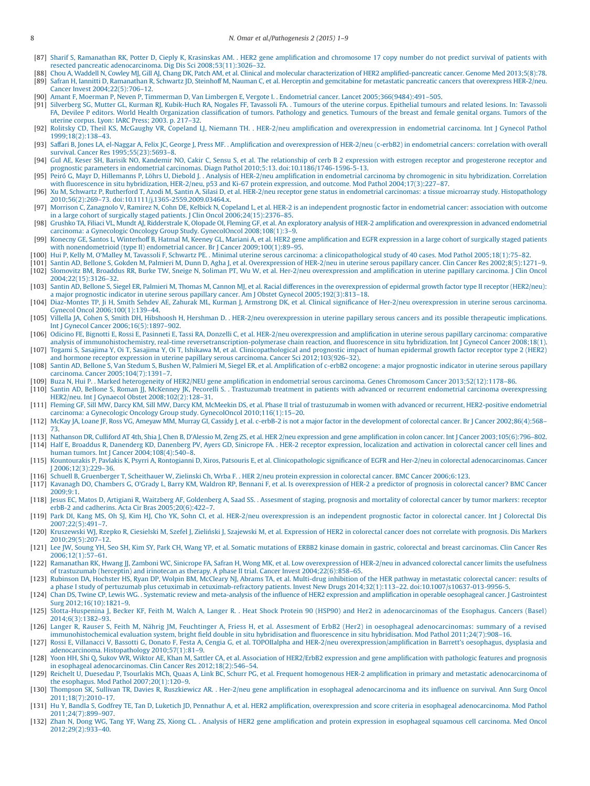- [87] [Sharif S, Ramanathan RK, Potter D, Cieply K, Krasinskas AM. . HER2 gene amplification and chromosome 17 copy number do not predict survival of patients with](http://refhub.elsevier.com/S2214-6636(15)00003-6/sr0440) [resected pancreatic adenocarcinoma. Dig Dis Sci 2008;53\(11\):3026–32.](http://refhub.elsevier.com/S2214-6636(15)00003-6/sr0440)
- <span id="page-8-0"></span>[88] [Chou A, Waddell N, Cowley MJ, Gill AJ, Chang DK, Patch AM, et al. Clinical and molecular characterization of HER2 amplified-pancreatic cancer. Genome Med 2013;5\(8\):78.](http://refhub.elsevier.com/S2214-6636(15)00003-6/sr0445) [89] [Safran H, Iannitti D, Ramanathan R, Schwartz JD, Steinhoff M, Nauman C, et al. Herceptin and gemcitabine for metastatic pancreatic cancers that overexpress HER-2/neu.](http://refhub.elsevier.com/S2214-6636(15)00003-6/sr0450) [Cancer Invest 2004;22\(5\):706–12.](http://refhub.elsevier.com/S2214-6636(15)00003-6/sr0450)
- <span id="page-8-1"></span>[90] [Amant F, Moerman P, Neven P, Timmerman D, Van Limbergen E, Vergote I. . Endometrial cancer. Lancet 2005;366\(9484\):491–505.](http://refhub.elsevier.com/S2214-6636(15)00003-6/sr0455)
- <span id="page-8-2"></span>[91] [Silverberg SG, Mutter GL, Kurman RJ, Kubik-Huch RA, Nogales FF, Tavassoli FA. . Tumours of the uterine corpus. Epithelial tumours and related lesions. In: Tavassoli](http://refhub.elsevier.com/S2214-6636(15)00003-6/sr0460) [FA, Devilee P editors. World Health Organization classification of tumors. Pathology and genetics. Tumours of the breast and female genital organs. Tumors of the](http://refhub.elsevier.com/S2214-6636(15)00003-6/sr0460) [uterine corpus. Lyon: IARC Press; 2003. p. 217–32.](http://refhub.elsevier.com/S2214-6636(15)00003-6/sr0460)
- <span id="page-8-3"></span>[92] [Rolitsky CD, Theil KS, McGaughy VR, Copeland LJ, Niemann TH. . HER-2/neu amplification and overexpression in endometrial carcinoma. Int J Gynecol Pathol](http://refhub.elsevier.com/S2214-6636(15)00003-6/sr0465) [1999;18\(2\):138–43.](http://refhub.elsevier.com/S2214-6636(15)00003-6/sr0465)
- [93] [Saffari B, Jones LA, el-Naggar A, Felix JC, George J, Press MF. . Amplification and overexpression of HER-2/neu \(c-erbB2\) in endometrial cancers: correlation with overall](http://refhub.elsevier.com/S2214-6636(15)00003-6/sr0470) [survival. Cancer Res 1995;55\(23\):5693–8.](http://refhub.elsevier.com/S2214-6636(15)00003-6/sr0470)
- [94] [Gul AE, Keser SH, Barisik NO, Kandemir NO, Cakir C, Sensu S, et al. The relationship of cerb B 2 expression with estrogen receptor and progesterone receptor and](http://refhub.elsevier.com/S2214-6636(15)00003-6/sr0475) [prognostic parameters in endometrial carcinomas. Diagn Pathol 2010;5:13. doi:10.1186/1746-1596-5-13.](http://refhub.elsevier.com/S2214-6636(15)00003-6/sr0475)
- [95] [Peiró G, Mayr D, Hillemanns P, Löhrs U, Diebold J. . Analysis of HER-2/neu amplification in endometrial carcinoma by chromogenic in situ hybridization. Correlation](http://refhub.elsevier.com/S2214-6636(15)00003-6/sr0480) [with fluorescence in situ hybridization, HER-2/neu, p53 and Ki-67 protein expression, and outcome. Mod Pathol 2004;17\(3\):227–87.](http://refhub.elsevier.com/S2214-6636(15)00003-6/sr0480)
- <span id="page-8-4"></span>[96] [Xu M, Schwartz P, Rutherford T, Azodi M, Santin A, Silasi D, et al. HER-2/neu receptor gene status in endometrial carcinomas: a tissue microarray study. Histopathology](http://refhub.elsevier.com/S2214-6636(15)00003-6/sr0485) [2010;56\(2\):269–73. doi:10.1111/j.1365-2559.2009.03464.x.](http://refhub.elsevier.com/S2214-6636(15)00003-6/sr0485)
- [97] [Morrison C, Zanagnolo V, Ramirez N, Cohn DE, Kelbick N, Copeland L, et al. HER-2 is an independent prognostic factor in endometrial cancer: association with outcome](http://refhub.elsevier.com/S2214-6636(15)00003-6/sr0490)
- [in a large cohort of surgically staged patients. J Clin Oncol 2006;24\(15\):2376–85.](http://refhub.elsevier.com/S2214-6636(15)00003-6/sr0490)<br>[98] Grushko TA, Filiaci VL, Mundt AJ, Ridderstrale K, Olopade OI, Fleming GF, et al. An exploratory analysis of HER-2 amplification and [carcinoma: a Gynecologic Oncology Group Study. GynecolOncol 2008;108\(1\):3–9.](http://refhub.elsevier.com/S2214-6636(15)00003-6/sr0495)
- [99] [Konecny GE, Santos L, Winterhoff B, Hatmal M, Keeney GL, Mariani A, et al. HER2 gene amplification and EGFR expression in a large cohort of surgically staged patients](http://refhub.elsevier.com/S2214-6636(15)00003-6/sr0500) [with nonendometrioid \(type II\) endometrial cancer. Br J Cancer 2009;100\(1\):89–95.](http://refhub.elsevier.com/S2214-6636(15)00003-6/sr0500)
- 
- [100] [Hui P, Kelly M, O'Malley M, Tavassoli F, Schwartz PE. . Minimal uterine serous carcinoma: a clinicopathological study of 40 cases. Mod Pathol 2005;18\(1\):75–82.](http://refhub.elsevier.com/S2214-6636(15)00003-6/sr0505)<br>[101] Santin AD, Bellone S, Gokden M, Palmieri M, Dunn
- [102] [Slomovitz BM, Broaddus RR, Burke TW, Sneige N, Soliman PT, Wu W, et al. Her-2/neu overexpression and amplification in uterine papillary carcinoma. J Clin Oncol](http://refhub.elsevier.com/S2214-6636(15)00003-6/sr0515) [2004;22\(15\):3126–32.](http://refhub.elsevier.com/S2214-6636(15)00003-6/sr0515)
- [103] [Santin AD, Bellone S, Siegel ER, Palmieri M, Thomas M, Cannon MJ, et al. Racial differences in the overexpression of epidermal growth factor type II receptor \(HER2/neu\):](http://refhub.elsevier.com/S2214-6636(15)00003-6/sr0520) [a major prognostic indicator in uterine serous papillary cancer. Am J Obstet Gynecol 2005;192\(3\):813–18.](http://refhub.elsevier.com/S2214-6636(15)00003-6/sr0520)
- [104] [Diaz-Montes TP, Ji H, Smith Sehdev AE, Zahurak ML, Kurman J, Armstrong DK, et al. Clinical significance of Her-2/neu overexpression in uterine serous carcinoma.](http://refhub.elsevier.com/S2214-6636(15)00003-6/sr0525) [Gynecol Oncol 2006;100\(1\):139–44.](http://refhub.elsevier.com/S2214-6636(15)00003-6/sr0525)
- [105] [Villella JA, Cohen S, Smith DH, Hibshoosh H, Hershman D. . HER-2/neu overexpression in uterine papillary serous cancers and its possible therapeutic](http://refhub.elsevier.com/S2214-6636(15)00003-6/sr0530) implications. [Int J Gynecol Cancer 2006;16\(5\):1897–902.](http://refhub.elsevier.com/S2214-6636(15)00003-6/sr0530)
- [106] [Odicino FE, Bignotti E, Rossi E, Pasinneti E, Tassi RA, Donzelli C, et al. HER-2/neu overexpression and amplification in uterine serous papillary carcinoma: comparative](http://refhub.elsevier.com/S2214-6636(15)00003-6/sr0535) [analysis of immunohistochemistry, real-time reversetranscription-polymerase chain reaction, and fluorescence in situ hybridization. Int J Gynecol Cancer 2008;18\(1\).](http://refhub.elsevier.com/S2214-6636(15)00003-6/sr0535) [107] [Togami S, Sasajima Y, Oi T, Sasajima Y, Oi T, Ishikawa M, et al. Clinicopathological and prognostic impact of human epidermal growth factor receptor type 2 \(HER2\)](http://refhub.elsevier.com/S2214-6636(15)00003-6/sr0540)
- [and hormone receptor expression in uterine papillary serous carcinoma. Cancer Sci 2012;103\(926–32\).](http://refhub.elsevier.com/S2214-6636(15)00003-6/sr0540) [108] [Santin AD, Bellone S, Van Stedum S, Bushen W, Palmieri M, Siegel ER, et al. Amplification of c-erbB2 oncogene: a major prognostic indicator in uterine serous papillary](http://refhub.elsevier.com/S2214-6636(15)00003-6/sr0545)
- [carcinoma. Cancer 2005;104\(7\):1391–7.](http://refhub.elsevier.com/S2214-6636(15)00003-6/sr0545)
- <span id="page-8-5"></span>[109] [Buza N, Hui P. . Marked heterogeneity of HER2/NEU gene amplification in endometrial serous carcinoma. Genes Chromosom Cancer 2013;52\(12\):1178–86.](http://refhub.elsevier.com/S2214-6636(15)00003-6/sr0550)
- [110] [Santin AD, Bellone S, Roman JJ, McKenney JK, Pecorelli S. . Trastuzumab treatment in patients with advanced or recurrent endometrial carcinoma overexpressing](http://refhub.elsevier.com/S2214-6636(15)00003-6/sr0555) [HER2/neu. Int J Gynaecol Obstet 2008;102\(2\):128–31.](http://refhub.elsevier.com/S2214-6636(15)00003-6/sr0555)
- <span id="page-8-6"></span>[111] [Fleming GF, Sill MW, Darcy KM, Sill MW, Darcy KM, McMeekin DS, et al. Phase II trial of trastuzumab in women with advanced or recurrent, HER2-positive endometrial](http://refhub.elsevier.com/S2214-6636(15)00003-6/sr0560) [carcinoma: a Gynecologic Oncology Group study. GynecolOncol 2010;116\(1\):15–20.](http://refhub.elsevier.com/S2214-6636(15)00003-6/sr0560)
- <span id="page-8-7"></span>[112] [McKay JA, Loane JF, Ross VG, Ameyaw MM, Murray GI, Cassidy J, et al. c-erbB-2 is not a major factor in the development of colorectal cancer. Br J Cancer 2002;86\(4\):568–](http://refhub.elsevier.com/S2214-6636(15)00003-6/sr0565) [73.](http://refhub.elsevier.com/S2214-6636(15)00003-6/sr0565)
- [113] [Nathanson DR, Culliford AT 4th, Shia J, Chen B, D'Alessio M, Zeng ZS, et al. HER 2/neu expression and gene amplification in colon cancer. Int J Cancer 2003;105\(6\):796–802.](http://refhub.elsevier.com/S2214-6636(15)00003-6/sr0570) [114] [Half E, Broaddus R, Danenderg KD, Danenberg PV, Ayers GD, Sinicrope FA. . HER-2 receptor expression, localization and activation in colorectal cancer cell lines and](http://refhub.elsevier.com/S2214-6636(15)00003-6/sr0575) [human tumors. Int J Cancer 2004;108\(4\):540–8.](http://refhub.elsevier.com/S2214-6636(15)00003-6/sr0575)
- [115] [Kountourakis P, Pavlakis K, Psyrri A, Rontogianni D, Xiros, Patsouris E, et al. Clinicopathologic significance of EGFR and Her-2/neu in colorectal adenocarcinomas. Cancer](http://refhub.elsevier.com/S2214-6636(15)00003-6/sr0580) [J 2006;12\(3\):229–36.](http://refhub.elsevier.com/S2214-6636(15)00003-6/sr0580)
- [116] [Schuell B, Gruenberger T, Scheithauer W, Zielinski Ch, Wrba F. . HER 2/neu protein expression in colorectal cancer. BMC Cancer 2006;6:123.](http://refhub.elsevier.com/S2214-6636(15)00003-6/sr0585)
- [117] [Kavanagh DO, Chambers G, O'Grady L, Barry KM, Waldron RP, Bennani F, et al. Is overexpression of HER-2 a predictor of prognosis in colorectal cancer? BMC Cancer](http://refhub.elsevier.com/S2214-6636(15)00003-6/sr0590) [2009;9:1.](http://refhub.elsevier.com/S2214-6636(15)00003-6/sr0590)
- [118] [Jesus EC, Matos D, Artigiani R, Waitzberg AF, Goldenberg A, Saad SS. . Assesment of staging, prognosis and mortality of colorectal cancer by tumor markers: receptor](http://refhub.elsevier.com/S2214-6636(15)00003-6/sr0595) [erbB-2 and cadherins. Acta Cir Bras 2005;20\(6\):422–7.](http://refhub.elsevier.com/S2214-6636(15)00003-6/sr0595)
- <span id="page-8-8"></span>[119] [Park DI, Kang MS, Oh SJ, Kim HJ, Cho YK, Sohn CI, et al. HER-2/neu overexpression is an independent prognostic factor in colorectal cancer. Int J Colorectal Dis](http://refhub.elsevier.com/S2214-6636(15)00003-6/sr0600) [2007;22\(5\):491–7.](http://refhub.elsevier.com/S2214-6636(15)00003-6/sr0600)
- [120] Kruszewski WJ, Rzepko R, Ciesielski M, Szefel J, Zieliński J, Szajewski M, et al. Expression of HER2 in colorectal cancer does not correlate with prognosis. Dis Markers [2010;29\(5\):207–12.](http://refhub.elsevier.com/S2214-6636(15)00003-6/sr0605)
- <span id="page-8-9"></span>[121] [Lee JW, Soung YH, Seo SH, Kim SY, Park CH, Wang YP, et al. Somatic mutations of ERBB2 kinase domain in gastric, colorectal and breast carcinomas. Clin Cancer Res](http://refhub.elsevier.com/S2214-6636(15)00003-6/sr0610) [2006;12\(1\):57–61.](http://refhub.elsevier.com/S2214-6636(15)00003-6/sr0610)
- <span id="page-8-10"></span>[122] [Ramanathan RK, Hwang JJ, Zamboni WC, Sinicrope FA, Safran H, Wong MK, et al. Low overexpression of HER-2/neu in advanced colorectal cancer limits the usefulness](http://refhub.elsevier.com/S2214-6636(15)00003-6/sr0615) [of trastuzumab \(herceptin\) and irinotecan as therapy. A phase II trial. Cancer Invest 2004;22\(6\):858–65.](http://refhub.elsevier.com/S2214-6636(15)00003-6/sr0615)
- <span id="page-8-11"></span>[123] [Rubinson DA, Hochster HS, Ryan DP, Wolpin BM, McCleary NJ, Abrams TA, et al. Multi-drug inhibition of the HER pathway in metastatic colorectal cancer:](http://refhub.elsevier.com/S2214-6636(15)00003-6/sr0620) results of [a phase I study of pertuzumab plus cetuximab in cetuximab-refractory patients. Invest New Drugs 2014;32\(1\):113–22. doi:10.1007/s10637-013-9956-5.](http://refhub.elsevier.com/S2214-6636(15)00003-6/sr0620)
- <span id="page-8-12"></span>[124] [Chan DS, Twine CP, Lewis WG. . Systematic review and meta-analysis of the influence of HER2 expression and amplification in operable oesophageal cancer. J Gastrointest](http://refhub.elsevier.com/S2214-6636(15)00003-6/sr0625) [Surg 2012;16\(10\):1821–9.](http://refhub.elsevier.com/S2214-6636(15)00003-6/sr0625)
- [125] [Slotta-Huspenina J, Becker KF, Feith M, Walch A, Langer R. . Heat Shock Protein 90 \(HSP90\) and Her2 in adenocarcinomas of the Esophagus. Cancers \(Basel\)](http://refhub.elsevier.com/S2214-6636(15)00003-6/sr0630) [2014;6\(3\):1382–93.](http://refhub.elsevier.com/S2214-6636(15)00003-6/sr0630)
- [126] [Langer R, Rauser S, Feith M, Nährig JM, Feuchtinger A, Friess H, et al. Assesment of ErbB2 \(Her2\) in oesophageal adenocarcinomas: summary of a revised](http://refhub.elsevier.com/S2214-6636(15)00003-6/sr0635) [immunohistochemical evaluation system, bright field double in situ hybridisation and fluorescence in situ hybridisation. Mod Pathol 2011;24\(7\):908–16.](http://refhub.elsevier.com/S2214-6636(15)00003-6/sr0635)
- [127] [Rossi E, Villanacci V, Bassotti G, Donato F, Festa A, Cengia G, et al. TOPOIIalpha and HER-2/neu overexpression/amplification in Barrett's oesophagus, dysplasia and](http://refhub.elsevier.com/S2214-6636(15)00003-6/sr0640) [adenocarcinoma. Histopathology 2010;57\(1\):81–9.](http://refhub.elsevier.com/S2214-6636(15)00003-6/sr0640)
- [128] [Yoon HH, Shi Q, Sukov WR, Wiktor AE, Khan M, Sattler CA, et al. Association of HER2/ErbB2 expression and gene amplification with pathologic features and](http://refhub.elsevier.com/S2214-6636(15)00003-6/sr0645) prognosis [in esophageal adenocarcinomas. Clin Cancer Res 2012;18\(2\):546–54.](http://refhub.elsevier.com/S2214-6636(15)00003-6/sr0645)
- [129] [Reichelt U, Duesedau P, Tsourlakis MCh, Quaas A, Link BC, Schurr PG, et al. Frequent homogenous HER-2 amplification in primary and metastatic adenocarcinoma of](http://refhub.elsevier.com/S2214-6636(15)00003-6/sr0650) [the esophagus. Mod Pathol 2007;20\(1\):120–9.](http://refhub.elsevier.com/S2214-6636(15)00003-6/sr0650)
- [130] [Thompson SK, Sullivan TR, Davies R, Ruszkiewicz AR. . Her-2/neu gene amplification in esophageal adenocarcinoma and its influence on survival. Ann Surg Oncol](http://refhub.elsevier.com/S2214-6636(15)00003-6/sr0655) [2011;18\(7\):2010–17.](http://refhub.elsevier.com/S2214-6636(15)00003-6/sr0655)
- [131] [Hu Y, Bandla S, Godfrey TE, Tan D, Luketich JD, Pennathur A, et al. HER2 amplification, overexpression and score criteria in esophageal adenocarcinoma. Mod Pathol](http://refhub.elsevier.com/S2214-6636(15)00003-6/sr0660) [2011;24\(7\):899–907.](http://refhub.elsevier.com/S2214-6636(15)00003-6/sr0660)
- [132] [Zhan N, Dong WG, Tang YF, Wang ZS, Xiong CL. . Analysis of HER2 gene amplification and protein expression in esophageal squamous cell carcinoma. Med Oncol](http://refhub.elsevier.com/S2214-6636(15)00003-6/sr0665) [2012;29\(2\):933–40.](http://refhub.elsevier.com/S2214-6636(15)00003-6/sr0665)